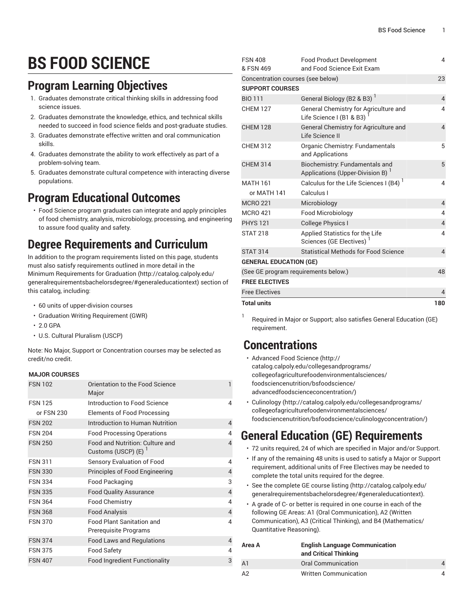# **BS FOOD SCIENCE**

### **Program Learning Objectives**

- 1. Graduates demonstrate critical thinking skills in addressing food science issues.
- 2. Graduates demonstrate the knowledge, ethics, and technical skills needed to succeed in food science fields and post-graduate studies.
- 3. Graduates demonstrate effective written and oral communication skills.
- 4. Graduates demonstrate the ability to work effectively as part of a problem-solving team.
- 5. Graduates demonstrate cultural competence with interacting diverse populations.

### **Program Educational Outcomes**

• Food Science program graduates can integrate and apply principles of food chemistry, analysis, microbiology, processing, and engineering to assure food quality and safety.

# **Degree Requirements and Curriculum**

In addition to the program requirements listed on this page, students must also satisfy requirements outlined in more detail in the Minimum [Requirements](http://catalog.calpoly.edu/generalrequirementsbachelorsdegree/#generaleducationtext) for Graduation ([http://catalog.calpoly.edu/](http://catalog.calpoly.edu/generalrequirementsbachelorsdegree/#generaleducationtext) [generalrequirementsbachelorsdegree/#generaleducationtext\)](http://catalog.calpoly.edu/generalrequirementsbachelorsdegree/#generaleducationtext) section of this catalog, including:

- 60 units of upper-division courses
- Graduation Writing Requirement (GWR)
- $\cdot$  2.0 GPA
- U.S. Cultural Pluralism (USCP)

Note: No Major, Support or Concentration courses may be selected as credit/no credit.

#### **MAJOR COURSES**

| <b>FSN 102</b> | Orientation to the Food Science<br>Major                  |                |
|----------------|-----------------------------------------------------------|----------------|
| <b>FSN 125</b> | Introduction to Food Science                              | 4              |
| or FSN 230     | Elements of Food Processing                               |                |
| <b>FSN 202</b> | Introduction to Human Nutrition                           | 4              |
| <b>FSN 204</b> | <b>Food Processing Operations</b>                         | 4              |
| <b>FSN 250</b> | Food and Nutrition: Culture and<br>Customs (USCP) (E)     | 4              |
| <b>FSN 311</b> | Sensory Evaluation of Food                                | 4              |
| <b>FSN 330</b> | Principles of Food Engineering                            | $\overline{4}$ |
| <b>FSN 334</b> | Food Packaging                                            | 3              |
| <b>FSN 335</b> | <b>Food Quality Assurance</b>                             | $\overline{4}$ |
| <b>FSN 364</b> | <b>Food Chemistry</b>                                     | 4              |
| <b>FSN 368</b> | <b>Food Analysis</b>                                      | $\overline{4}$ |
| <b>FSN 370</b> | <b>Food Plant Sanitation and</b><br>Prerequisite Programs | 4              |
| <b>FSN 374</b> | Food Laws and Regulations                                 | 4              |
| <b>FSN 375</b> | <b>Food Safety</b>                                        | 4              |
| <b>FSN 407</b> | <b>Food Ingredient Functionality</b>                      | 3              |
|                |                                                           |                |

| <b>FSN 408</b><br>& FSN 469          | <b>Food Product Development</b><br>and Food Science Exit Exam           | 4              |  |  |
|--------------------------------------|-------------------------------------------------------------------------|----------------|--|--|
| Concentration courses (see below)    | 23                                                                      |                |  |  |
| <b>SUPPORT COURSES</b>               |                                                                         |                |  |  |
| <b>BIO 111</b>                       | General Biology (B2 & B3) <sup>1</sup>                                  | $\overline{4}$ |  |  |
| <b>CHEM 127</b>                      | General Chemistry for Agriculture and<br>Life Science I (B1 & B3)       | 4              |  |  |
| <b>CHEM 128</b>                      | General Chemistry for Agriculture and<br>Life Science II                | $\overline{4}$ |  |  |
| <b>CHEM 312</b>                      | Organic Chemistry: Fundamentals<br>and Applications                     | 5              |  |  |
| <b>CHEM 314</b>                      | Biochemistry: Fundamentals and<br>Applications (Upper-Division B)       | 5              |  |  |
| <b>MATH 161</b>                      | Calculus for the Life Sciences I (B4) <sup>1</sup>                      | 4              |  |  |
| or MATH 141                          | Calculus I                                                              |                |  |  |
| <b>MCRO 221</b>                      | Microbiology                                                            | $\overline{4}$ |  |  |
| <b>MCRO 421</b>                      | Food Microbiology                                                       | 4              |  |  |
| <b>PHYS 121</b>                      | <b>College Physics I</b>                                                | $\overline{4}$ |  |  |
| <b>STAT 218</b>                      | Applied Statistics for the Life<br>Sciences (GE Electives) <sup>1</sup> | 4              |  |  |
| <b>STAT 314</b>                      | <b>Statistical Methods for Food Science</b>                             | $\overline{4}$ |  |  |
| <b>GENERAL EDUCATION (GE)</b>        |                                                                         |                |  |  |
| (See GE program requirements below.) | 48                                                                      |                |  |  |
| <b>FREE ELECTIVES</b>                |                                                                         |                |  |  |
| <b>Free Electives</b>                |                                                                         | $\overline{4}$ |  |  |
| <b>Total units</b>                   |                                                                         | 180            |  |  |

1 Required in Major or Support; also satisfies General Education (GE) requirement.

### **Concentrations**

- [Advanced](http://catalog.calpoly.edu/collegesandprograms/collegeofagriculturefoodenvironmentalsciences/foodsciencenutrition/bsfoodscience/advancedfoodscienceconcentration/) Food Science [\(http://](http://catalog.calpoly.edu/collegesandprograms/collegeofagriculturefoodenvironmentalsciences/foodsciencenutrition/bsfoodscience/advancedfoodscienceconcentration/) [catalog.calpoly.edu/collegesandprograms/](http://catalog.calpoly.edu/collegesandprograms/collegeofagriculturefoodenvironmentalsciences/foodsciencenutrition/bsfoodscience/advancedfoodscienceconcentration/) [collegeofagriculturefoodenvironmentalsciences/](http://catalog.calpoly.edu/collegesandprograms/collegeofagriculturefoodenvironmentalsciences/foodsciencenutrition/bsfoodscience/advancedfoodscienceconcentration/) [foodsciencenutrition/bsfoodscience/](http://catalog.calpoly.edu/collegesandprograms/collegeofagriculturefoodenvironmentalsciences/foodsciencenutrition/bsfoodscience/advancedfoodscienceconcentration/) [advancedfoodscienceconcentration/\)](http://catalog.calpoly.edu/collegesandprograms/collegeofagriculturefoodenvironmentalsciences/foodsciencenutrition/bsfoodscience/advancedfoodscienceconcentration/)
- [Culinology](http://catalog.calpoly.edu/collegesandprograms/collegeofagriculturefoodenvironmentalsciences/foodsciencenutrition/bsfoodscience/culinologyconcentration/) ([http://catalog.calpoly.edu/collegesandprograms/](http://catalog.calpoly.edu/collegesandprograms/collegeofagriculturefoodenvironmentalsciences/foodsciencenutrition/bsfoodscience/culinologyconcentration/) [collegeofagriculturefoodenvironmentalsciences/](http://catalog.calpoly.edu/collegesandprograms/collegeofagriculturefoodenvironmentalsciences/foodsciencenutrition/bsfoodscience/culinologyconcentration/) [foodsciencenutrition/bsfoodscience/culinologyconcentration/\)](http://catalog.calpoly.edu/collegesandprograms/collegeofagriculturefoodenvironmentalsciences/foodsciencenutrition/bsfoodscience/culinologyconcentration/)

## **General Education (GE) Requirements**

- 72 units required, 24 of which are specified in Major and/or Support.
- If any of the remaining 48 units is used to satisfy a Major or Support requirement, additional units of Free Electives may be needed to complete the total units required for the degree.
- See the [complete GE course listing](http://catalog.calpoly.edu/generalrequirementsbachelorsdegree/#generaleducationtext) [\(http://catalog.calpoly.edu/](http://catalog.calpoly.edu/generalrequirementsbachelorsdegree/#generaleducationtext) [generalrequirementsbachelorsdegree/#generaleducationtext](http://catalog.calpoly.edu/generalrequirementsbachelorsdegree/#generaleducationtext)).
- A grade of C- or better is required in one course in each of the following GE Areas: A1 (Oral Communication), A2 (Written Communication), A3 (Critical Thinking), and B4 (Mathematics/ Quantitative Reasoning).

| Area A         | <b>English Language Communication</b><br>and Critical Thinking |   |
|----------------|----------------------------------------------------------------|---|
| A <sub>1</sub> | Oral Communication                                             | 4 |
| A2             | <b>Written Communication</b>                                   | 4 |